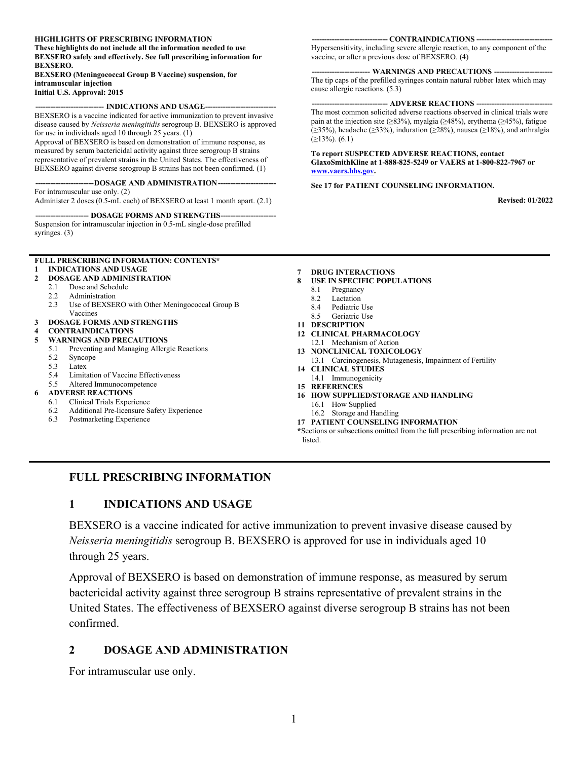#### **HIGHLIGHTS OF PRESCRIBING INFORMATION**

**These highlights do not include all the information needed to use BEXSERO safely and effectively. See full prescribing information for BEXSERO.**

**BEXSERO (Meningococcal Group B Vaccine) suspension, for intramuscular injection**

**Initial U.S. Approval: 2015**

#### -- **INDICATIONS AND USAGE--**

BEXSERO is a vaccine indicated for active immunization to prevent invasive disease caused by *Neisseria meningitidis* serogroup B. BEXSERO is approved for use in individuals aged 10 through 25 years. (1)

Approval of BEXSERO is based on demonstration of immune response, as measured by serum bactericidal activity against three serogroup B strains representative of prevalent strains in the United States. The effectiveness of BEXSERO against diverse serogroup B strains has not been confirmed. (1)

-DOSAGE AND ADMINISTRATION-For intramuscular use only. (2)

Administer 2 doses (0.5-mL each) of BEXSERO at least 1 month apart. (2.1)

#### --- **DOSAGE FORMS AND STRENGTHS-**

Suspension for intramuscular injection in 0.5-mL single-dose prefilled syringes. (3)

#### **FULL PRESCRIBING INFORMATION: CONTENTS\* 1 [INDICATIONS AND USAGE](#page-0-0)**

#### **2 [DOSAGE AND ADMINISTRATION](#page-0-1)**

- 2.1 [Dose and Schedule](#page-1-0)
- 2.2 [Administration](#page-1-1)<br>2.3 Use of BEXSE
- Use of BEXSERO with Other Meningococcal Group B [Vaccines](#page-1-2)

#### **3 [DOSAGE FORMS AND STRENGTHS](#page-1-3)**

#### **4 [CONTRAINDICATIONS](#page-1-4)**

- **5 [WARNINGS AND PRECAUTIONS](#page-1-5)**
	- 5.1 [Preventing and Managing Allergic Reactions](#page-1-6)<br>5.2 Syncone
	- [Syncope](#page-1-7)
	- 5.3 [Latex](#page-1-8)
	- [Limitation of Vaccine Effectiveness](#page-1-9)
	- 5.5 [Altered Immunocompetence](#page-2-0) **6 [ADVERSE REACTIONS](#page-2-1)**

- 6.1 [Clinical Trials Experience](#page-2-2)<br>6.2 Additional Pre-licensure S 6.2 [Additional Pre-licensure Safety Experience](#page-5-0)
- 
- 6.3 [Postmarketing Experience](#page-5-1)

#### **7 [DRUG INTERACTIONS](#page-6-0)**

- **8 [USE IN SPECIFIC POPULATIONS](#page-6-1)**
	- 8.1 [Pregnancy](#page-6-2)
	- 8.2 [Lactation](#page-7-0)
	- 8.4 [Pediatric Use](#page-7-1)<br>8.5 Geriatric Use
- [Geriatric Use](#page-7-2) **11 [DESCRIPTION](#page-7-3)**
- **12 [CLINICAL PHARMACOLOGY](#page-8-0)**
- 12.1 [Mechanism of Action](#page-8-1)
- **13 [NONCLINICAL TOXICOLOGY](#page-8-2)**
- 13.1 [Carcinogenesis, Mutagenesis, Impairment of Fertility](#page-8-3)
- **14 [CLINICAL STUDIES](#page-8-4)**
- 14.1 [Immunogenicity](#page-8-5)
- **15 [REFERENCES](#page-10-0)**
- **16 [HOW SUPPLIED/STORAGE AND](#page-10-1) HANDLING**
	- 16.1 [How Supplied](#page-10-2)
	- 16.2 [Storage and Handling](#page-11-0)
- **17 [PATIENT COUNSELING INFORMATION](#page-11-1)**

**\***Sections or subsections omitted from the full prescribing information are not listed.

### <span id="page-0-0"></span>**FULL PRESCRIBING INFORMATION**

### **1 INDICATIONS AND USAGE**

BEXSERO is a vaccine indicated for active immunization to prevent invasive disease caused by *Neisseria meningitidis* serogroup B. BEXSERO is approved for use in individuals aged 10 through 25 years.

Approval of BEXSERO is based on demonstration of immune response, as measured by serum bactericidal activity against three serogroup B strains representative of prevalent strains in the United States. The effectiveness of BEXSERO against diverse serogroup B strains has not been confirmed.

#### <span id="page-0-1"></span>**2 DOSAGE AND ADMINISTRATION**

For intramuscular use only.

**------------------------------ CONTRAINDICATIONS ------------------------------**

Hypersensitivity, including severe allergic reaction, to any component of the vaccine, or after a previous dose of BEXSERO. (4)

#### -- WARNINGS AND PRECAUTIONS --

The tip caps of the prefilled syringes contain natural rubber latex which may cause allergic reactions. (5.3)

#### **-- ADVERSE REACTIONS --**

The most common solicited adverse reactions observed in clinical trials were pain at the injection site (≥83%), myalgia (≥48%), erythema (≥45%), fatigue (≥35%), headache (≥33%), induration (≥28%), nausea (≥18%), and arthralgia  $(≥13%)$ .  $(6.1)$ 

#### **To report SUSPECTED ADVERSE REACTIONS, contact GlaxoSmithKline at 1-888-825-5249 or VAERS at 1-800-822-7967 or [www.vaers.hhs.gov.](https://vaers.hhs.gov/)**

#### **See 17 for PATIENT COUNSELING INFORMATION.**

**Revised: 01/2022**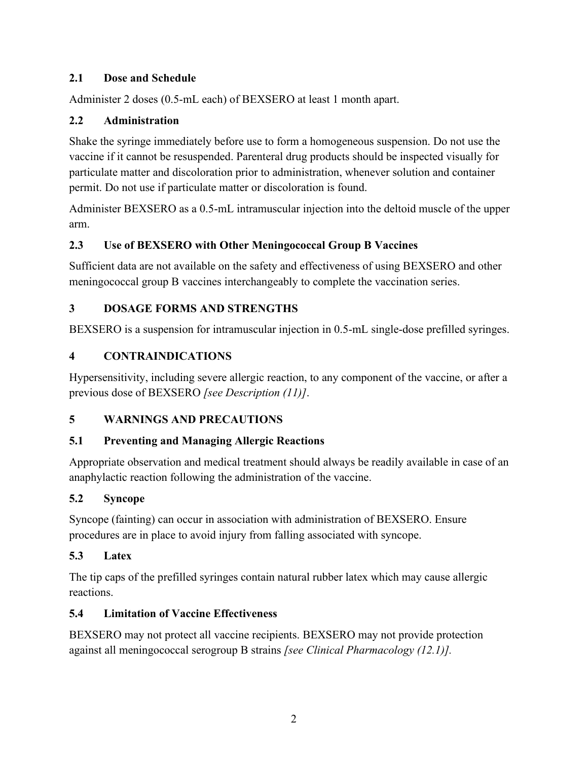# <span id="page-1-0"></span>**2.1 Dose and Schedule**

Administer 2 doses (0.5-mL each) of BEXSERO at least 1 month apart.

# <span id="page-1-1"></span>**2.2 Administration**

Shake the syringe immediately before use to form a homogeneous suspension. Do not use the vaccine if it cannot be resuspended. Parenteral drug products should be inspected visually for particulate matter and discoloration prior to administration, whenever solution and container permit. Do not use if particulate matter or discoloration is found.

Administer BEXSERO as a 0.5-mL intramuscular injection into the deltoid muscle of the upper arm.

# <span id="page-1-2"></span>**2.3 Use of BEXSERO with Other Meningococcal Group B Vaccines**

Sufficient data are not available on the safety and effectiveness of using BEXSERO and other meningococcal group B vaccines interchangeably to complete the vaccination series.

# <span id="page-1-3"></span>**3 DOSAGE FORMS AND STRENGTHS**

<span id="page-1-4"></span>BEXSERO is a suspension for intramuscular injection in 0.5-mL single-dose prefilled syringes.

# **4 CONTRAINDICATIONS**

Hypersensitivity, including severe allergic reaction, to any component of the vaccine, or after a previous dose of BEXSERO *[see Description (11)]*.

# <span id="page-1-5"></span>**5 WARNINGS AND PRECAUTIONS**

# <span id="page-1-6"></span>**5.1 Preventing and Managing Allergic Reactions**

Appropriate observation and medical treatment should always be readily available in case of an anaphylactic reaction following the administration of the vaccine.

# <span id="page-1-7"></span>**5.2 Syncope**

Syncope (fainting) can occur in association with administration of BEXSERO. Ensure procedures are in place to avoid injury from falling associated with syncope.

# <span id="page-1-8"></span>**5.3 Latex**

The tip caps of the prefilled syringes contain natural rubber latex which may cause allergic reactions.

# <span id="page-1-9"></span>**5.4 Limitation of Vaccine Effectiveness**

BEXSERO may not protect all vaccine recipients. BEXSERO may not provide protection against all meningococcal serogroup B strains *[see Clinical Pharmacology (12.1)].*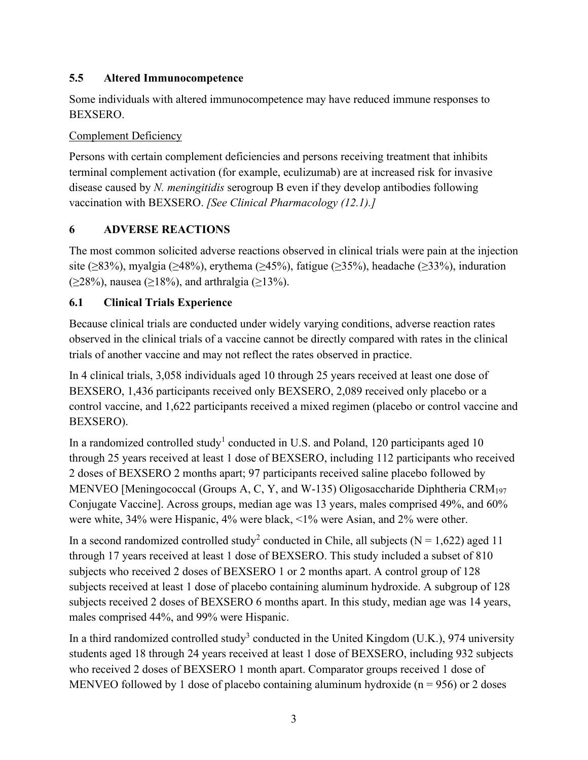# <span id="page-2-0"></span>**5.5 Altered Immunocompetence**

Some individuals with altered immunocompetence may have reduced immune responses to BEXSERO.

## Complement Deficiency

Persons with certain complement deficiencies and persons receiving treatment that inhibits terminal complement activation (for example, eculizumab) are at increased risk for invasive disease caused by *N. meningitidis* serogroup B even if they develop antibodies following vaccination with BEXSERO. *[See Clinical Pharmacology (12.1).]*

# <span id="page-2-1"></span>**6 ADVERSE REACTIONS**

The most common solicited adverse reactions observed in clinical trials were pain at the injection site ( $\geq$ 83%), myalgia ( $\geq$ 48%), erythema ( $\geq$ 45%), fatigue ( $\geq$ 35%), headache ( $\geq$ 33%), induration (≥28%), nausea (≥18%), and arthralgia (≥13%).

# <span id="page-2-2"></span>**6.1 Clinical Trials Experience**

Because clinical trials are conducted under widely varying conditions, adverse reaction rates observed in the clinical trials of a vaccine cannot be directly compared with rates in the clinical trials of another vaccine and may not reflect the rates observed in practice.

In 4 clinical trials, 3,058 individuals aged 10 through 25 years received at least one dose of BEXSERO, 1,436 participants received only BEXSERO, 2,089 received only placebo or a control vaccine, and 1,622 participants received a mixed regimen (placebo or control vaccine and BEXSERO).

In a randomized controlled study<sup>1</sup> conducted in U.S. and Poland, 120 participants aged 10 through 25 years received at least 1 dose of BEXSERO, including 112 participants who received 2 doses of BEXSERO 2 months apart; 97 participants received saline placebo followed by MENVEO [Meningococcal (Groups A, C, Y, and W-135) Oligosaccharide Diphtheria CRM<sub>197</sub> Conjugate Vaccine]. Across groups, median age was 13 years, males comprised 49%, and 60% were white, 34% were Hispanic, 4% were black, <1% were Asian, and 2% were other.

In a second randomized controlled study<sup>2</sup> conducted in Chile, all subjects ( $N = 1.622$ ) aged 11 through 17 years received at least 1 dose of BEXSERO. This study included a subset of 810 subjects who received 2 doses of BEXSERO 1 or 2 months apart. A control group of 128 subjects received at least 1 dose of placebo containing aluminum hydroxide. A subgroup of 128 subjects received 2 doses of BEXSERO 6 months apart. In this study, median age was 14 years, males comprised 44%, and 99% were Hispanic.

In a third randomized controlled study<sup>3</sup> conducted in the United Kingdom (U.K.), 974 university students aged 18 through 24 years received at least 1 dose of BEXSERO, including 932 subjects who received 2 doses of BEXSERO 1 month apart. Comparator groups received 1 dose of MENVEO followed by 1 dose of placebo containing aluminum hydroxide ( $n = 956$ ) or 2 doses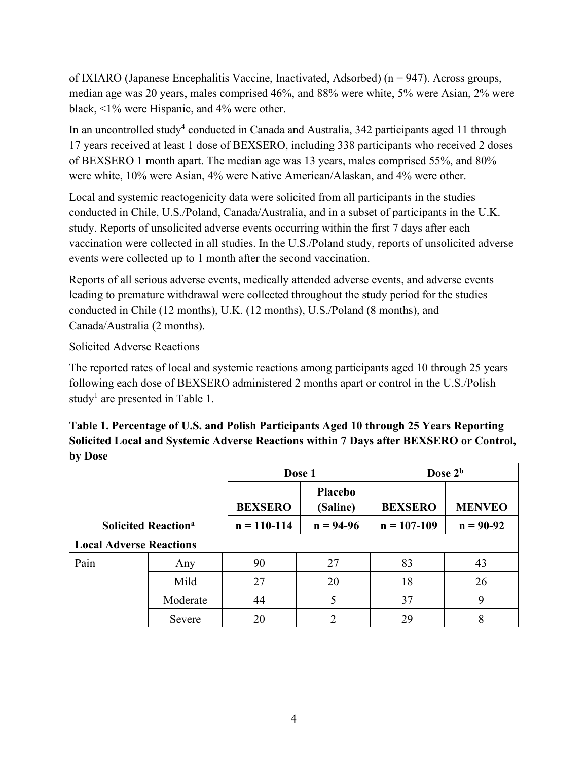of IXIARO (Japanese Encephalitis Vaccine, Inactivated, Adsorbed) (n = 947). Across groups, median age was 20 years, males comprised 46%, and 88% were white, 5% were Asian, 2% were black, <1% were Hispanic, and 4% were other.

In an uncontrolled study<sup>4</sup> conducted in Canada and Australia,  $342$  participants aged 11 through 17 years received at least 1 dose of BEXSERO, including 338 participants who received 2 doses of BEXSERO 1 month apart. The median age was 13 years, males comprised 55%, and 80% were white, 10% were Asian, 4% were Native American/Alaskan, and 4% were other.

Local and systemic reactogenicity data were solicited from all participants in the studies conducted in Chile, U.S./Poland, Canada/Australia, and in a subset of participants in the U.K. study. Reports of unsolicited adverse events occurring within the first 7 days after each vaccination were collected in all studies. In the U.S./Poland study, reports of unsolicited adverse events were collected up to 1 month after the second vaccination.

Reports of all serious adverse events, medically attended adverse events, and adverse events leading to premature withdrawal were collected throughout the study period for the studies conducted in Chile (12 months), U.K. (12 months), U.S./Poland (8 months), and Canada/Australia (2 months).

### Solicited Adverse Reactions

The reported rates of local and systemic reactions among participants aged 10 through 25 years following each dose of BEXSERO administered 2 months apart or control in the U.S./Polish study<sup>1</sup> are presented in Table 1.

| Table 1. Percentage of U.S. and Polish Participants Aged 10 through 25 Years Reporting |
|----------------------------------------------------------------------------------------|
| Solicited Local and Systemic Adverse Reactions within 7 Days after BEXSERO or Control, |
| by Dose                                                                                |

|                                       |          | Dose 1          |                            | Dose 2 <sup>b</sup> |               |
|---------------------------------------|----------|-----------------|----------------------------|---------------------|---------------|
|                                       |          | <b>BEXSERO</b>  | <b>Placebo</b><br>(Saline) | <b>BEXSERO</b>      | <b>MENVEO</b> |
| <b>Solicited Reaction<sup>a</sup></b> |          | $n = 110 - 114$ | $n = 94-96$                | $n = 107 - 109$     | $n = 90-92$   |
| <b>Local Adverse Reactions</b>        |          |                 |                            |                     |               |
| Pain                                  | Any      | 90              | 27                         | 83                  | 43            |
|                                       | Mild     | 27              | 20                         | 18                  | 26            |
|                                       | Moderate | 44              |                            | 37                  | 9             |
|                                       | Severe   | 20              |                            | 29                  | 8             |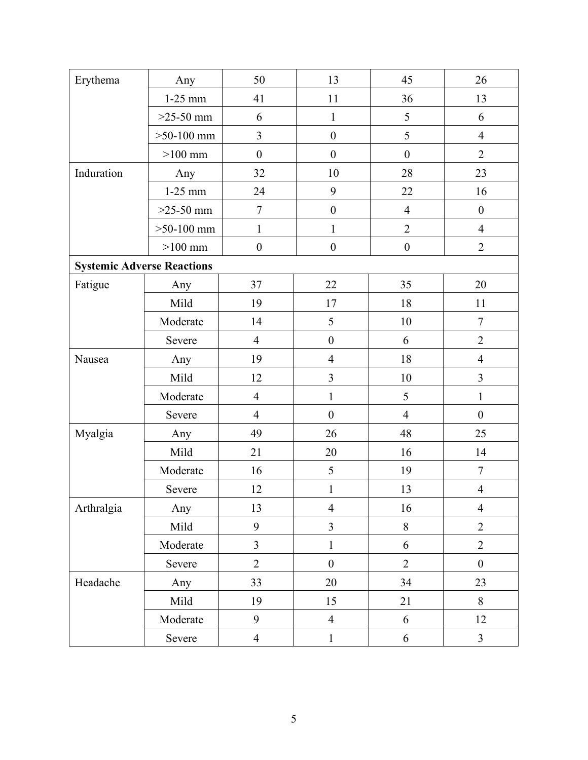| Erythema                          | Any          | 50               | 13               | 45               | 26               |
|-----------------------------------|--------------|------------------|------------------|------------------|------------------|
|                                   | $1-25$ mm    | 41               | 11               | 36               | 13               |
|                                   | $>25-50$ mm  | 6                | $\mathbf{1}$     | 5                | 6                |
|                                   | $>50-100$ mm | 3                | $\boldsymbol{0}$ | 5                | $\overline{4}$   |
|                                   | $>100$ mm    | $\boldsymbol{0}$ | $\boldsymbol{0}$ | $\boldsymbol{0}$ | $\overline{2}$   |
| Induration                        | Any          | 32               | 10               | 28               | 23               |
|                                   | $1-25$ mm    | 24               | 9                | 22               | 16               |
|                                   | $>25-50$ mm  | $\tau$           | $\boldsymbol{0}$ | $\overline{4}$   | $\boldsymbol{0}$ |
|                                   | $>50-100$ mm | $\mathbf{1}$     | $\mathbf{1}$     | $\overline{2}$   | $\overline{4}$   |
|                                   | $>100$ mm    | $\boldsymbol{0}$ | $\boldsymbol{0}$ | $\boldsymbol{0}$ | $\overline{2}$   |
| <b>Systemic Adverse Reactions</b> |              |                  |                  |                  |                  |
| Fatigue                           | Any          | 37               | 22               | 35               | 20               |
|                                   | Mild         | 19               | 17               | 18               | 11               |
|                                   | Moderate     | 14               | 5                | 10               | $\tau$           |
|                                   | Severe       | $\overline{4}$   | $\boldsymbol{0}$ | 6                | $\overline{2}$   |
| Nausea                            | Any          | 19               | $\overline{4}$   | 18               | $\overline{4}$   |
|                                   | Mild         | 12               | $\overline{3}$   | 10               | $\mathfrak{Z}$   |
|                                   | Moderate     | $\overline{4}$   | $\mathbf{1}$     | 5                | $\mathbf{1}$     |
|                                   | Severe       | $\overline{4}$   | $\boldsymbol{0}$ | $\overline{4}$   | $\boldsymbol{0}$ |
| Myalgia                           | Any          | 49               | 26               | 48               | 25               |
|                                   | Mild         | 21               | 20               | 16               | 14               |
|                                   | Moderate     | 16               | 5                | 19               | $\boldsymbol{7}$ |
|                                   | Severe       | 12               | $\mathbf{1}$     | 13               | $\overline{4}$   |
| Arthralgia                        | Any          | 13               | $\overline{4}$   | 16               | $\overline{4}$   |
|                                   | Mild         | 9                | $\overline{3}$   | $8\,$            | $\overline{2}$   |
|                                   | Moderate     | $\overline{3}$   | $\mathbf{1}$     | 6                | $\overline{2}$   |
|                                   | Severe       | $\overline{2}$   | $\boldsymbol{0}$ | $\overline{2}$   | $\boldsymbol{0}$ |
| Headache                          | Any          | 33               | 20               | 34               | 23               |
|                                   | Mild         | 19               | 15               | 21               | $8\,$            |
|                                   | Moderate     | 9                | $\overline{4}$   | 6                | 12               |
|                                   | Severe       | $\overline{4}$   | $\mathbf{1}$     | 6                | $\mathfrak{Z}$   |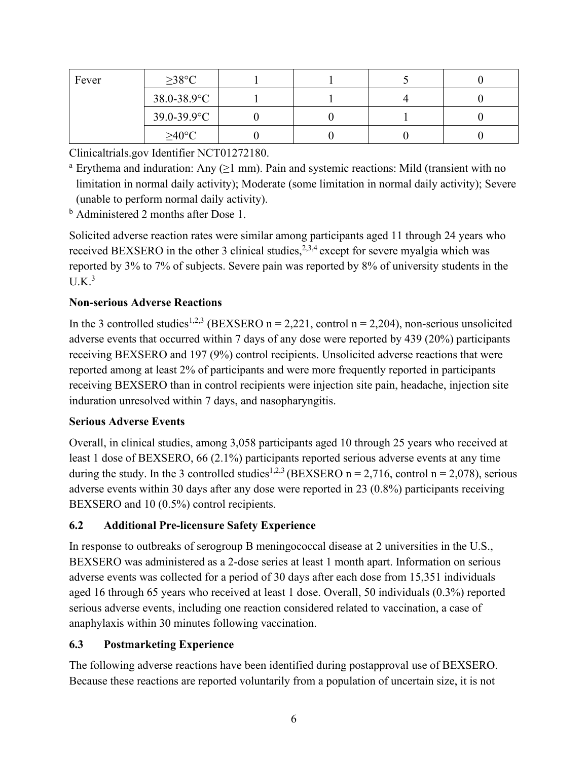| Fever | $\geq$ 38°C      |  |  |
|-------|------------------|--|--|
|       | $38.0 - 38.9$ °C |  |  |
|       | $39.0 - 39.9$ °C |  |  |
|       | $\geq$ 40°C      |  |  |

Clinicaltrials.gov Identifier NCT01272180.

<sup>a</sup> Erythema and induration: Any  $(≥1$  mm). Pain and systemic reactions: Mild (transient with no limitation in normal daily activity); Moderate (some limitation in normal daily activity); Severe (unable to perform normal daily activity).

<sup>b</sup> Administered 2 months after Dose 1.

Solicited adverse reaction rates were similar among participants aged 11 through 24 years who received BEXSERO in the other 3 clinical studies,  $2,3,4$  except for severe myalgia which was reported by 3% to 7% of subjects. Severe pain was reported by 8% of university students in the  $U.K.^3$ 

# **Non-serious Adverse Reactions**

In the 3 controlled studies<sup>1,2,3</sup> (BEXSERO n = 2,221, control n = 2,204), non-serious unsolicited adverse events that occurred within 7 days of any dose were reported by 439 (20%) participants receiving BEXSERO and 197 (9%) control recipients. Unsolicited adverse reactions that were reported among at least 2% of participants and were more frequently reported in participants receiving BEXSERO than in control recipients were injection site pain, headache, injection site induration unresolved within 7 days, and nasopharyngitis.

### **Serious Adverse Events**

Overall, in clinical studies, among 3,058 participants aged 10 through 25 years who received at least 1 dose of BEXSERO, 66 (2.1%) participants reported serious adverse events at any time during the study. In the 3 controlled studies<sup>1,2,3</sup> (BEXSERO n = 2,716, control n = 2,078), serious adverse events within 30 days after any dose were reported in 23 (0.8%) participants receiving BEXSERO and 10 (0.5%) control recipients.

# <span id="page-5-0"></span>**6.2 Additional Pre-licensure Safety Experience**

In response to outbreaks of serogroup B meningococcal disease at 2 universities in the U.S., BEXSERO was administered as a 2-dose series at least 1 month apart. Information on serious adverse events was collected for a period of 30 days after each dose from 15,351 individuals aged 16 through 65 years who received at least 1 dose. Overall, 50 individuals (0.3%) reported serious adverse events, including one reaction considered related to vaccination, a case of anaphylaxis within 30 minutes following vaccination.

# <span id="page-5-1"></span>**6.3 Postmarketing Experience**

The following adverse reactions have been identified during postapproval use of BEXSERO. Because these reactions are reported voluntarily from a population of uncertain size, it is not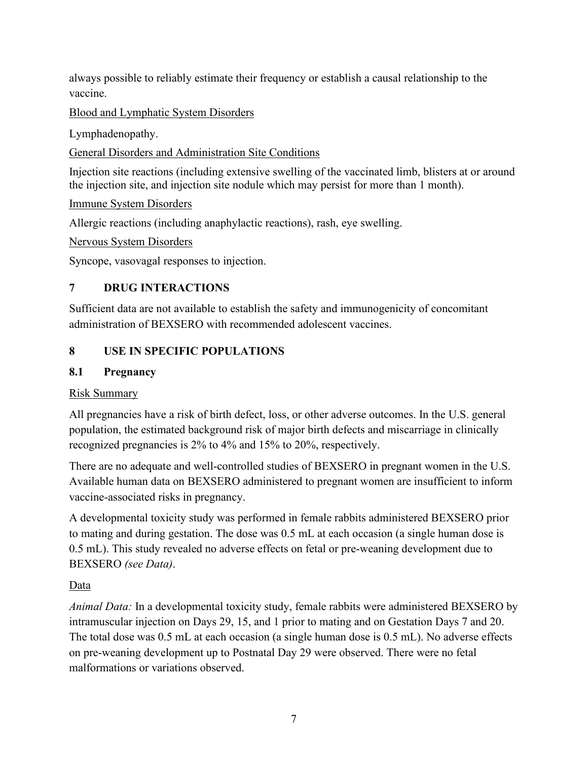always possible to reliably estimate their frequency or establish a causal relationship to the vaccine.

Blood and Lymphatic System Disorders

Lymphadenopathy.

General Disorders and Administration Site Conditions

Injection site reactions (including extensive swelling of the vaccinated limb, blisters at or around the injection site, and injection site nodule which may persist for more than 1 month).

### Immune System Disorders

Allergic reactions (including anaphylactic reactions), rash, eye swelling.

Nervous System Disorders

<span id="page-6-0"></span>Syncope, vasovagal responses to injection.

# **7 DRUG INTERACTIONS**

Sufficient data are not available to establish the safety and immunogenicity of concomitant administration of BEXSERO with recommended adolescent vaccines.

# <span id="page-6-1"></span>**8 USE IN SPECIFIC POPULATIONS**

### <span id="page-6-2"></span>**8.1 Pregnancy**

### Risk Summary

All pregnancies have a risk of birth defect, loss, or other adverse outcomes. In the U.S. general population, the estimated background risk of major birth defects and miscarriage in clinically recognized pregnancies is 2% to 4% and 15% to 20%, respectively.

There are no adequate and well-controlled studies of BEXSERO in pregnant women in the U.S. Available human data on BEXSERO administered to pregnant women are insufficient to inform vaccine-associated risks in pregnancy.

A developmental toxicity study was performed in female rabbits administered BEXSERO prior to mating and during gestation. The dose was 0.5 mL at each occasion (a single human dose is 0.5 mL). This study revealed no adverse effects on fetal or pre-weaning development due to BEXSERO *(see Data)*.

### Data

*Animal Data:* In a developmental toxicity study, female rabbits were administered BEXSERO by intramuscular injection on Days 29, 15, and 1 prior to mating and on Gestation Days 7 and 20. The total dose was 0.5 mL at each occasion (a single human dose is 0.5 mL). No adverse effects on pre-weaning development up to Postnatal Day 29 were observed. There were no fetal malformations or variations observed.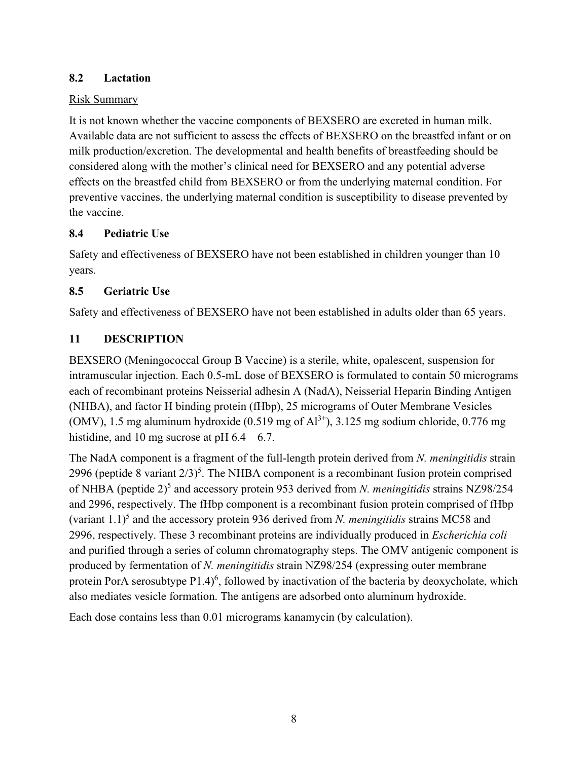# <span id="page-7-0"></span>**8.2 Lactation**

### Risk Summary

It is not known whether the vaccine components of BEXSERO are excreted in human milk. Available data are not sufficient to assess the effects of BEXSERO on the breastfed infant or on milk production/excretion. The developmental and health benefits of breastfeeding should be considered along with the mother's clinical need for BEXSERO and any potential adverse effects on the breastfed child from BEXSERO or from the underlying maternal condition. For preventive vaccines, the underlying maternal condition is susceptibility to disease prevented by the vaccine.

# <span id="page-7-1"></span>**8.4 Pediatric Use**

Safety and effectiveness of BEXSERO have not been established in children younger than 10 years.

# <span id="page-7-2"></span>**8.5 Geriatric Use**

<span id="page-7-3"></span>Safety and effectiveness of BEXSERO have not been established in adults older than 65 years.

# **11 DESCRIPTION**

BEXSERO (Meningococcal Group B Vaccine) is a sterile, white, opalescent, suspension for intramuscular injection. Each 0.5-mL dose of BEXSERO is formulated to contain 50 micrograms each of recombinant proteins Neisserial adhesin A (NadA), Neisserial Heparin Binding Antigen (NHBA), and factor H binding protein (fHbp), 25 micrograms of Outer Membrane Vesicles (OMV), 1.5 mg aluminum hydroxide (0.519 mg of  $Al^{3+}$ ), 3.125 mg sodium chloride, 0.776 mg histidine, and 10 mg sucrose at pH  $6.4 - 6.7$ .

The NadA component is a fragment of the full-length protein derived from *N. meningitidis* strain 2996 (peptide 8 variant  $2/3$ )<sup>5</sup>. The NHBA component is a recombinant fusion protein comprised of NHBA (peptide 2)<sup>5</sup> and accessory protein 953 derived from *N. meningitidis* strains NZ98/254 and 2996, respectively. The fHbp component is a recombinant fusion protein comprised of fHbp (variant 1.1)5 and the accessory protein 936 derived from *N. meningitidis* strains MC58 and 2996, respectively. These 3 recombinant proteins are individually produced in *Escherichia coli* and purified through a series of column chromatography steps. The OMV antigenic component is produced by fermentation of *N. meningitidis* strain NZ98/254 (expressing outer membrane protein PorA serosubtype P1.4)<sup>6</sup>, followed by inactivation of the bacteria by deoxycholate, which also mediates vesicle formation. The antigens are adsorbed onto aluminum hydroxide.

Each dose contains less than 0.01 micrograms kanamycin (by calculation).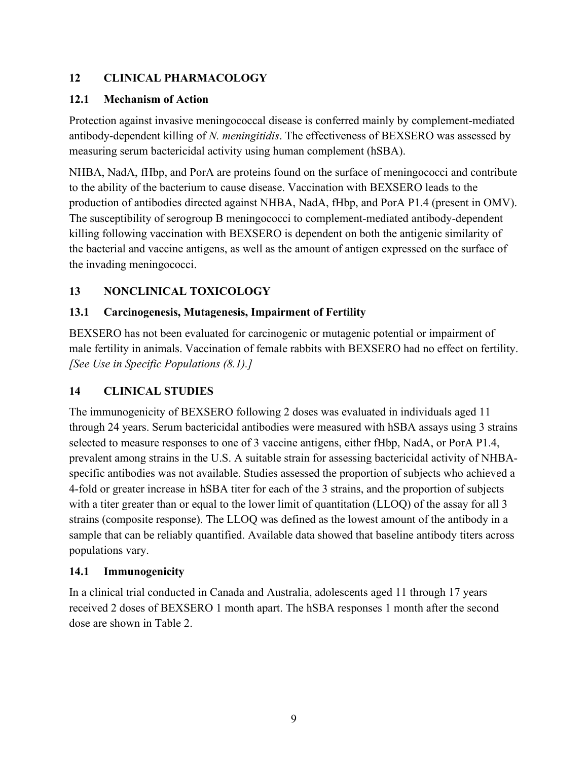# <span id="page-8-0"></span>**12 CLINICAL PHARMACOLOGY**

### <span id="page-8-1"></span>**12.1 Mechanism of Action**

Protection against invasive meningococcal disease is conferred mainly by complement-mediated antibody-dependent killing of *N. meningitidis*. The effectiveness of BEXSERO was assessed by measuring serum bactericidal activity using human complement (hSBA).

NHBA, NadA, fHbp, and PorA are proteins found on the surface of meningococci and contribute to the ability of the bacterium to cause disease. Vaccination with BEXSERO leads to the production of antibodies directed against NHBA, NadA, fHbp, and PorA P1.4 (present in OMV). The susceptibility of serogroup B meningococci to complement-mediated antibody-dependent killing following vaccination with BEXSERO is dependent on both the antigenic similarity of the bacterial and vaccine antigens, as well as the amount of antigen expressed on the surface of the invading meningococci.

# <span id="page-8-2"></span>**13 NONCLINICAL TOXICOLOGY**

# <span id="page-8-3"></span>**13.1 Carcinogenesis, Mutagenesis, Impairment of Fertility**

BEXSERO has not been evaluated for carcinogenic or mutagenic potential or impairment of male fertility in animals. Vaccination of female rabbits with BEXSERO had no effect on fertility. *[See Use in Specific Populations (8.1).]*

# <span id="page-8-4"></span>**14 CLINICAL STUDIES**

The immunogenicity of BEXSERO following 2 doses was evaluated in individuals aged 11 through 24 years. Serum bactericidal antibodies were measured with hSBA assays using 3 strains selected to measure responses to one of 3 vaccine antigens, either fHbp, NadA, or PorA P1.4, prevalent among strains in the U.S. A suitable strain for assessing bactericidal activity of NHBAspecific antibodies was not available. Studies assessed the proportion of subjects who achieved a 4-fold or greater increase in hSBA titer for each of the 3 strains, and the proportion of subjects with a titer greater than or equal to the lower limit of quantitation (LLOQ) of the assay for all 3 strains (composite response). The LLOQ was defined as the lowest amount of the antibody in a sample that can be reliably quantified. Available data showed that baseline antibody titers across populations vary.

### <span id="page-8-5"></span>**14.1 Immunogenicity**

In a clinical trial conducted in Canada and Australia, adolescents aged 11 through 17 years received 2 doses of BEXSERO 1 month apart. The hSBA responses 1 month after the second dose are shown in Table 2.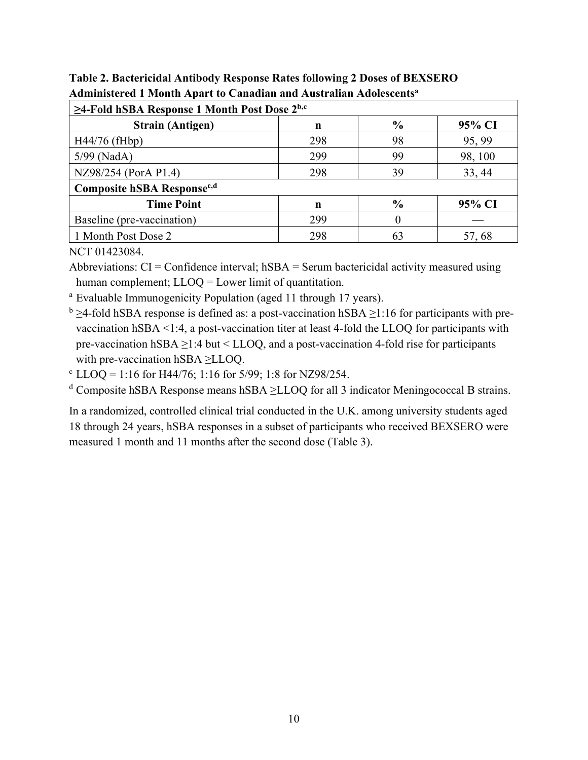| $\geq$ 4-Fold hSBA Response 1 Month Post Dose $2^{b,c}$ |     |               |         |  |
|---------------------------------------------------------|-----|---------------|---------|--|
| <b>Strain (Antigen)</b>                                 | n   | $\frac{6}{6}$ | 95% CI  |  |
| H44/76 (fHbp)                                           | 298 | 98            | 95, 99  |  |
| 5/99 (NadA)                                             | 299 | 99            | 98, 100 |  |
| NZ98/254 (PorA P1.4)                                    | 298 | 39            | 33, 44  |  |
| Composite hSBA Response <sup>c,d</sup>                  |     |               |         |  |
| <b>Time Point</b>                                       | n   | $\frac{6}{6}$ | 95% CI  |  |
| Baseline (pre-vaccination)                              | 299 |               |         |  |
| 1 Month Post Dose 2                                     | 298 | 63            | 57, 68  |  |

**Table 2. Bactericidal Antibody Response Rates following 2 Doses of BEXSERO Administered 1 Month Apart to Canadian and Australian Adolescentsa**

NCT 01423084.

Abbreviations:  $CI =$ Confidence interval;  $hSBA =$ Serum bactericidal activity measured using human complement; LLOQ = Lower limit of quantitation.

<sup>a</sup> Evaluable Immunogenicity Population (aged 11 through 17 years).

 $b \geq 4$ -fold hSBA response is defined as: a post-vaccination hSBA  $\geq 1:16$  for participants with prevaccination hSBA <1:4, a post-vaccination titer at least 4-fold the LLOQ for participants with pre-vaccination hSBA  $\geq$ 1:4 but < LLOQ, and a post-vaccination 4-fold rise for participants with pre-vaccination hSBA ≥LLOQ.

 $c$  LLOQ = 1:16 for H44/76; 1:16 for 5/99; 1:8 for NZ98/254.

<sup>d</sup> Composite hSBA Response means hSBA ≥LLOQ for all 3 indicator Meningococcal B strains.

In a randomized, controlled clinical trial conducted in the U.K. among university students aged 18 through 24 years, hSBA responses in a subset of participants who received BEXSERO were measured 1 month and 11 months after the second dose (Table 3).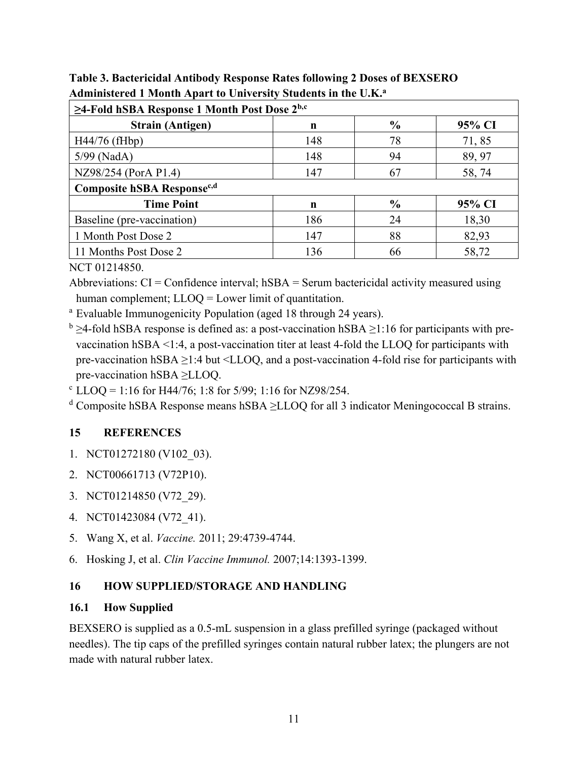| $\geq$ 4-Fold hSBA Response 1 Month Post Dose $2^{b,c}$ |     |               |        |  |  |
|---------------------------------------------------------|-----|---------------|--------|--|--|
| <b>Strain (Antigen)</b>                                 | n   | $\frac{6}{9}$ | 95% CI |  |  |
| $H44/76$ (fHbp)                                         | 148 | 78            | 71,85  |  |  |
| 5/99 (NadA)                                             | 148 | 94            | 89, 97 |  |  |
| NZ98/254 (PorA P1.4)                                    | 147 | 67            | 58,74  |  |  |
| Composite hSBA Response <sup>c,d</sup>                  |     |               |        |  |  |
| <b>Time Point</b>                                       | n   | $\frac{0}{0}$ | 95% CI |  |  |
| Baseline (pre-vaccination)                              | 186 | 24            | 18,30  |  |  |
| 1 Month Post Dose 2                                     | 147 | 88            | 82,93  |  |  |
| 11 Months Post Dose 2                                   | 136 | 66            | 58,72  |  |  |

**Table 3. Bactericidal Antibody Response Rates following 2 Doses of BEXSERO Administered 1 Month Apart to University Students in the U.K.a**

NCT 01214850.

Abbreviations:  $CI =$ Confidence interval;  $hSBA =$ Serum bactericidal activity measured using human complement; LLOQ = Lower limit of quantitation.

<sup>a</sup> Evaluable Immunogenicity Population (aged 18 through 24 years).

 $b \geq 4$ -fold hSBA response is defined as: a post-vaccination hSBA  $\geq 1:16$  for participants with prevaccination hSBA <1:4, a post-vaccination titer at least 4-fold the LLOQ for participants with pre-vaccination hSBA ≥1:4 but <LLOQ, and a post-vaccination 4-fold rise for participants with pre-vaccination hSBA ≥LLOQ.

 $c$  LLOQ = 1:16 for H44/76; 1:8 for 5/99; 1:16 for NZ98/254.

<sup>d</sup> Composite hSBA Response means hSBA  $\geq$ LLOQ for all 3 indicator Meningococcal B strains.

# <span id="page-10-0"></span>**15 REFERENCES**

- 1. NCT01272180 (V102\_03).
- 2. NCT00661713 (V72P10).
- 3. NCT01214850 (V72\_29).
- 4. NCT01423084 (V72\_41).
- 5. Wang X, et al. *Vaccine.* 2011; 29:4739-4744.
- 6. Hosking J, et al. *Clin Vaccine Immunol.* 2007;14:1393-1399.

# <span id="page-10-1"></span>**16 HOW SUPPLIED/STORAGE AND HANDLING**

# <span id="page-10-2"></span>**16.1 How Supplied**

BEXSERO is supplied as a 0.5-mL suspension in a glass prefilled syringe (packaged without needles). The tip caps of the prefilled syringes contain natural rubber latex; the plungers are not made with natural rubber latex.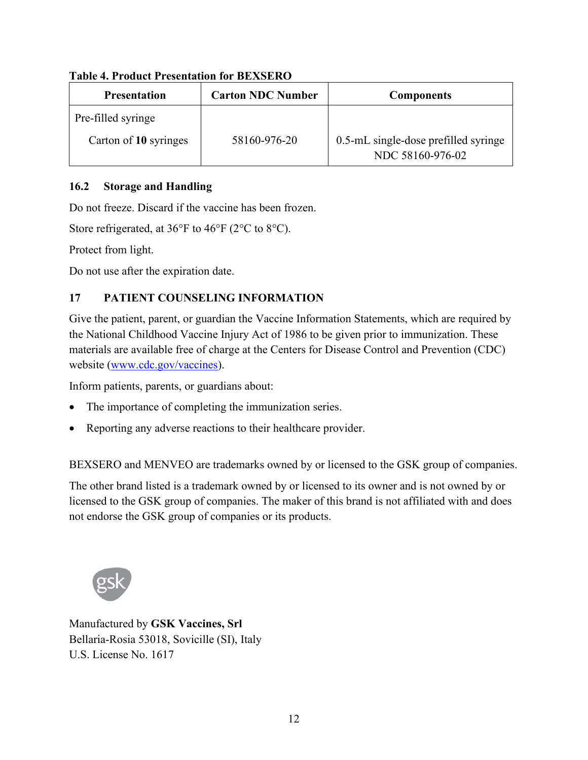| <b>Presentation</b>   | <b>Carton NDC Number</b> | <b>Components</b>                                        |
|-----------------------|--------------------------|----------------------------------------------------------|
| Pre-filled syringe    |                          |                                                          |
| Carton of 10 syringes | 58160-976-20             | 0.5-mL single-dose prefilled syringe<br>NDC 58160-976-02 |

## **Table 4. Product Presentation for BEXSERO**

# <span id="page-11-0"></span>**16.2 Storage and Handling**

Do not freeze. Discard if the vaccine has been frozen.

Store refrigerated, at 36°F to 46°F (2°C to 8°C).

Protect from light.

<span id="page-11-1"></span>Do not use after the expiration date.

# **17 PATIENT COUNSELING INFORMATION**

Give the patient, parent, or guardian the Vaccine Information Statements, which are required by the National Childhood Vaccine Injury Act of 1986 to be given prior to immunization. These materials are available free of charge at the Centers for Disease Control and Prevention (CDC) website ([www.cdc.gov/vaccines](https://www.cdc.gov/vaccines/index.html?CDC_AA_refVal=https%3A%2F%2Fwww.cdc.gov%2Fvaccines%2Fdefault.htm)).

Inform patients, parents, or guardians about:

- The importance of completing the immunization series.
- Reporting any adverse reactions to their healthcare provider.

BEXSERO and MENVEO are trademarks owned by or licensed to the GSK group of companies.

The other brand listed is a trademark owned by or licensed to its owner and is not owned by or licensed to the GSK group of companies. The maker of this brand is not affiliated with and does not endorse the GSK group of companies or its products.



Manufactured by **GSK Vaccines, Srl** Bellaria-Rosia 53018, Sovicille (SI), Italy U.S. License No. 1617